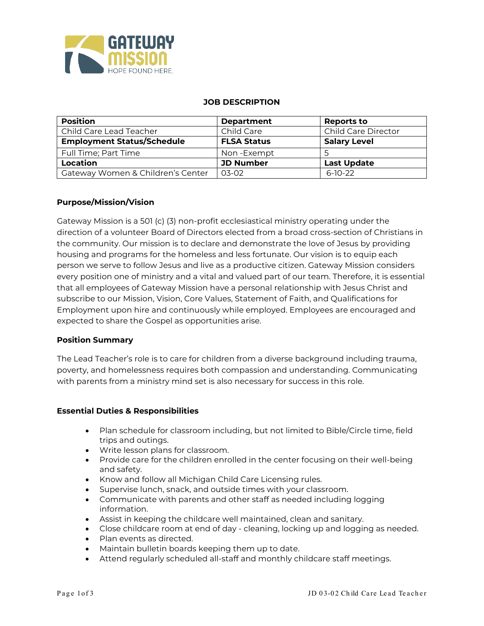

#### **JOB DESCRIPTION**

| <b>Position</b>                   | <b>Department</b>  | Reports to                 |
|-----------------------------------|--------------------|----------------------------|
| Child Care Lead Teacher           | Child Care         | <b>Child Care Director</b> |
| <b>Employment Status/Schedule</b> | <b>FLSA Status</b> | <b>Salary Level</b>        |
| Full Time; Part Time              | Non-Exempt         |                            |
| Location                          | <b>JD Number</b>   | <b>Last Update</b>         |
| Gateway Women & Children's Center | 03-02              | $6-10-22$                  |

## **Purpose/Mission/Vision**

Gateway Mission is a 501 (c) (3) non-profit ecclesiastical ministry operating under the direction of a volunteer Board of Directors elected from a broad cross-section of Christians in the community. Our mission is to declare and demonstrate the love of Jesus by providing housing and programs for the homeless and less fortunate. Our vision is to equip each person we serve to follow Jesus and live as a productive citizen. Gateway Mission considers every position one of ministry and a vital and valued part of our team. Therefore, it is essential that all employees of Gateway Mission have a personal relationship with Jesus Christ and subscribe to our Mission, Vision, Core Values, Statement of Faith, and Qualifications for Employment upon hire and continuously while employed. Employees are encouraged and expected to share the Gospel as opportunities arise.

## **Position Summary**

The Lead Teacher's role is to care for children from a diverse background including trauma, poverty, and homelessness requires both compassion and understanding. Communicating with parents from a ministry mind set is also necessary for success in this role.

#### **Essential Duties & Responsibilities**

- Plan schedule for classroom including, but not limited to Bible/Circle time, field trips and outings.
- Write lesson plans for classroom.
- Provide care for the children enrolled in the center focusing on their well-being and safety.
- Know and follow all Michigan Child Care Licensing rules.
- Supervise lunch, snack, and outside times with your classroom.
- Communicate with parents and other staff as needed including logging information.
- Assist in keeping the childcare well maintained, clean and sanitary.
- Close childcare room at end of day cleaning, locking up and logging as needed.
- Plan events as directed.
- Maintain bulletin boards keeping them up to date.
- Attend regularly scheduled all-staff and monthly childcare staff meetings.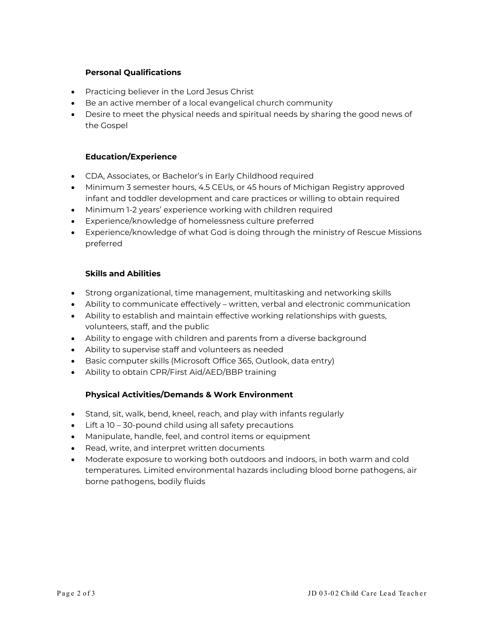# **Personal Qualifications**

- Practicing believer in the Lord Jesus Christ
- Be an active member of a local evangelical church community
- Desire to meet the physical needs and spiritual needs by sharing the good news of the Gospel

## **Education/Experience**

- CDA, Associates, or Bachelor's in Early Childhood required
- Minimum 3 semester hours, 4.5 CEUs, or 45 hours of Michigan Registry approved infant and toddler development and care practices or willing to obtain required
- Minimum 1-2 years' experience working with children required
- Experience/knowledge of homelessness culture preferred
- Experience/knowledge of what God is doing through the ministry of Rescue Missions preferred

## **Skills and Abilities**

- Strong organizational, time management, multitasking and networking skills
- Ability to communicate effectively written, verbal and electronic communication
- Ability to establish and maintain effective working relationships with guests, volunteers, staff, and the public
- Ability to engage with children and parents from a diverse background
- Ability to supervise staff and volunteers as needed
- Basic computer skills (Microsoft Office 365, Outlook, data entry)
- Ability to obtain CPR/First Aid/AED/BBP training

## **Physical Activities/Demands & Work Environment**

- Stand, sit, walk, bend, kneel, reach, and play with infants regularly
- Lift a 10 30-pound child using all safety precautions
- Manipulate, handle, feel, and control items or equipment
- Read, write, and interpret written documents
- Moderate exposure to working both outdoors and indoors, in both warm and cold temperatures. Limited environmental hazards including blood borne pathogens, air borne pathogens, bodily fluids